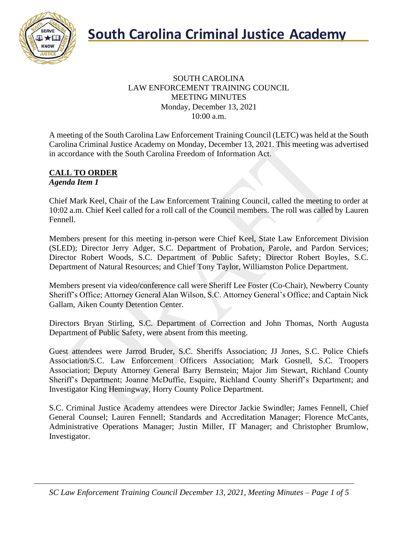

#### SOUTH CAROLINA LAW ENFORCEMENT TRAINING COUNCIL MEETING MINUTES Monday, December 13, 2021 10:00 a.m.

A meeting of the South Carolina Law Enforcement Training Council (LETC) was held at the South Carolina Criminal Justice Academy on Monday, December 13, 2021. This meeting was advertised in accordance with the South Carolina Freedom of Information Act.

#### **CALL TO ORDER** *Agenda Item 1*

Chief Mark Keel, Chair of the Law Enforcement Training Council, called the meeting to order at 10:02 a.m. Chief Keel called for a roll call of the Council members. The roll was called by Lauren Fennell.

Members present for this meeting in-person were Chief Keel, State Law Enforcement Division (SLED); Director Jerry Adger, S.C. Department of Probation, Parole, and Pardon Services; Director Robert Woods, S.C. Department of Public Safety; Director Robert Boyles, S.C. Department of Natural Resources; and Chief Tony Taylor, Williamston Police Department.

Members present via video/conference call were Sheriff Lee Foster (Co-Chair), Newberry County Sheriff's Office; Attorney General Alan Wilson, S.C. Attorney General's Office; and Captain Nick Gallam, Aiken County Detention Center.

Directors Bryan Stirling, S.C. Department of Correction and John Thomas, North Augusta Department of Public Safety, were absent from this meeting.

Guest attendees were Jarrod Bruder, S.C. Sheriffs Association; JJ Jones, S.C. Police Chiefs Association/S.C. Law Enforcement Officers Association; Mark Gosnell, S.C. Troopers Association; Deputy Attorney General Barry Bernstein; Major Jim Stewart, Richland County Sheriff's Department; Joanne McDuffie, Esquire, Richland County Sheriff's Department; and Investigator King Hemingway, Horry County Police Department.

S.C. Criminal Justice Academy attendees were Director Jackie Swindler; James Fennell, Chief General Counsel; Lauren Fennell; Standards and Accreditation Manager; Florence McCants, Administrative Operations Manager; Justin Miller, IT Manager; and Christopher Brumlow, Investigator.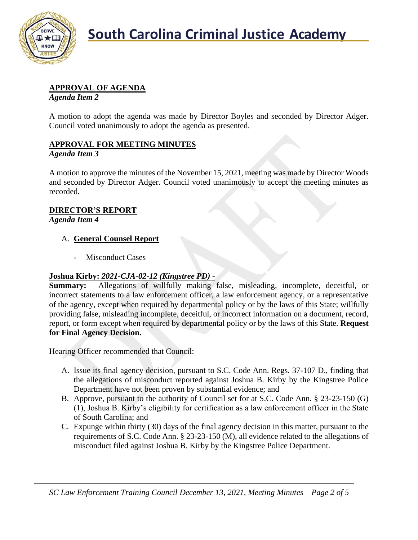

#### **APPROVAL OF AGENDA**

*Agenda Item 2*

A motion to adopt the agenda was made by Director Boyles and seconded by Director Adger. Council voted unanimously to adopt the agenda as presented.

#### **APPROVAL FOR MEETING MINUTES**

#### *Agenda Item 3*

A motion to approve the minutes of the November 15, 2021, meeting was made by Director Woods and seconded by Director Adger. Council voted unanimously to accept the meeting minutes as recorded.

#### **DIRECTOR'S REPORT**

*Agenda Item 4*

#### A. **General Counsel Report**

Misconduct Cases

#### **Joshua Kirby:** *2021-CJA-02-12 (Kingstree PD)* **-**

**Summary:** Allegations of willfully making false, misleading, incomplete, deceitful, or incorrect statements to a law enforcement officer, a law enforcement agency, or a representative of the agency, except when required by departmental policy or by the laws of this State; willfully providing false, misleading incomplete, deceitful, or incorrect information on a document, record, report, or form except when required by departmental policy or by the laws of this State. **Request for Final Agency Decision.**

Hearing Officer recommended that Council:

- A. Issue its final agency decision, pursuant to S.C. Code Ann. Regs. 37-107 D., finding that the allegations of misconduct reported against Joshua B. Kirby by the Kingstree Police Department have not been proven by substantial evidence; and
- B. Approve, pursuant to the authority of Council set for at S.C. Code Ann. § 23-23-150 (G) (1), Joshua B. Kirby's eligibility for certification as a law enforcement officer in the State of South Carolina; and
- C. Expunge within thirty (30) days of the final agency decision in this matter, pursuant to the requirements of S.C. Code Ann. § 23-23-150 (M), all evidence related to the allegations of misconduct filed against Joshua B. Kirby by the Kingstree Police Department.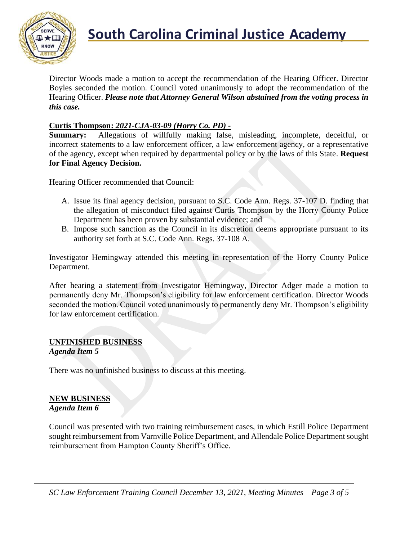

## **South Carolina Criminal Justice Academy**<br>KNOW

Director Woods made a motion to accept the recommendation of the Hearing Officer. Director Boyles seconded the motion. Council voted unanimously to adopt the recommendation of the Hearing Officer. *Please note that Attorney General Wilson abstained from the voting process in this case.*

#### **Curtis Thompson:** *2021-CJA-03-09 (Horry Co. PD) -*

**Summary:** Allegations of willfully making false, misleading, incomplete, deceitful, or incorrect statements to a law enforcement officer, a law enforcement agency, or a representative of the agency, except when required by departmental policy or by the laws of this State. **Request for Final Agency Decision.**

Hearing Officer recommended that Council:

- A. Issue its final agency decision, pursuant to S.C. Code Ann. Regs. 37-107 D. finding that the allegation of misconduct filed against Curtis Thompson by the Horry County Police Department has been proven by substantial evidence; and
- B. Impose such sanction as the Council in its discretion deems appropriate pursuant to its authority set forth at S.C. Code Ann. Regs. 37-108 A.

Investigator Hemingway attended this meeting in representation of the Horry County Police Department.

After hearing a statement from Investigator Hemingway, Director Adger made a motion to permanently deny Mr. Thompson's eligibility for law enforcement certification. Director Woods seconded the motion. Council voted unanimously to permanently deny Mr. Thompson's eligibility for law enforcement certification.

### **UNFINISHED BUSINESS**

#### *Agenda Item 5*

There was no unfinished business to discuss at this meeting.

#### **NEW BUSINESS** *Agenda Item 6*

Council was presented with two training reimbursement cases, in which Estill Police Department sought reimbursement from Varnville Police Department, and Allendale Police Department sought reimbursement from Hampton County Sheriff's Office.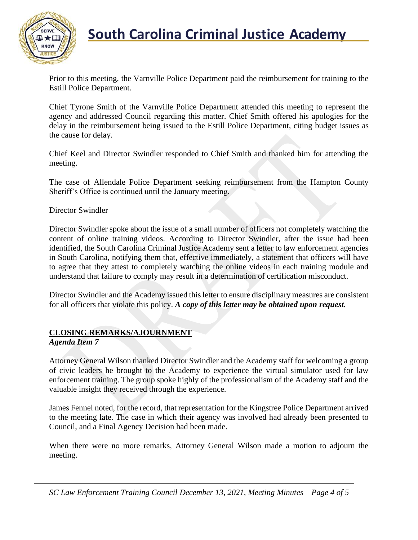

### **South Carolina Criminal Justice Academy**

Prior to this meeting, the Varnville Police Department paid the reimbursement for training to the Estill Police Department.

Chief Tyrone Smith of the Varnville Police Department attended this meeting to represent the agency and addressed Council regarding this matter. Chief Smith offered his apologies for the delay in the reimbursement being issued to the Estill Police Department, citing budget issues as the cause for delay.

Chief Keel and Director Swindler responded to Chief Smith and thanked him for attending the meeting.

The case of Allendale Police Department seeking reimbursement from the Hampton County Sheriff's Office is continued until the January meeting.

#### Director Swindler

Director Swindler spoke about the issue of a small number of officers not completely watching the content of online training videos. According to Director Swindler, after the issue had been identified, the South Carolina Criminal Justice Academy sent a letter to law enforcement agencies in South Carolina, notifying them that, effective immediately, a statement that officers will have to agree that they attest to completely watching the online videos in each training module and understand that failure to comply may result in a determination of certification misconduct.

Director Swindler and the Academy issued this letter to ensure disciplinary measures are consistent for all officers that violate this policy. *A copy of this letter may be obtained upon request.*

#### **CLOSING REMARKS/AJOURNMENT**

#### *Agenda Item 7*

Attorney General Wilson thanked Director Swindler and the Academy staff for welcoming a group of civic leaders he brought to the Academy to experience the virtual simulator used for law enforcement training. The group spoke highly of the professionalism of the Academy staff and the valuable insight they received through the experience.

James Fennel noted, for the record, that representation for the Kingstree Police Department arrived to the meeting late. The case in which their agency was involved had already been presented to Council, and a Final Agency Decision had been made.

When there were no more remarks, Attorney General Wilson made a motion to adjourn the meeting.

*SC Law Enforcement Training Council December 13, 2021, Meeting Minutes – Page 4 of 5*